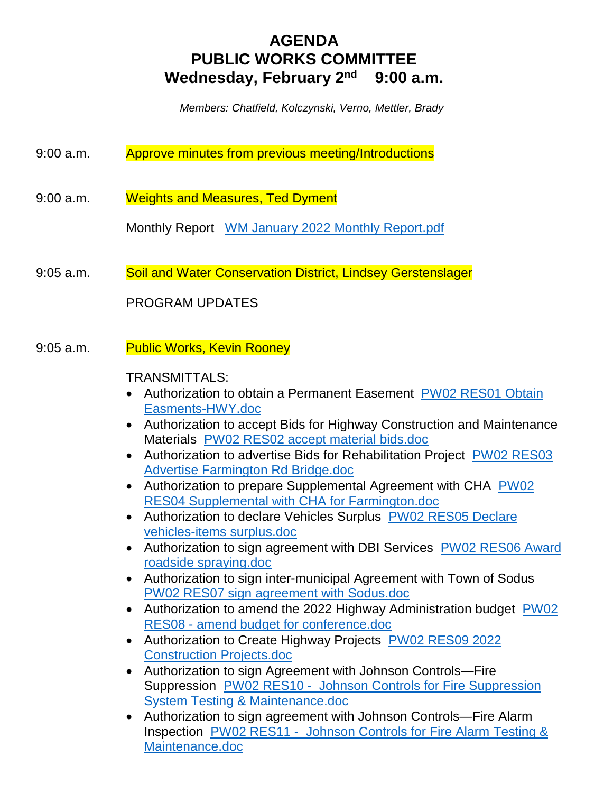# **AGENDA PUBLIC WORKS COMMITTEE Wednesday, February 2nd 9:00 a.m.**

 *Members: Chatfield, Kolczynski, Verno, Mettler, Brady*

- 9:00 a.m. Approve minutes from previous meeting/Introductions
- 9:00 a.m. Weights and Measures, Ted Dyment

Monthly Report WM January 2022 Monthly Report.pdf

9:05 a.m. Soil and Water Conservation District, Lindsey Gerstenslager

PROGRAM UPDATES

9:05 a.m. Public Works, Kevin Rooney

# TRANSMITTALS:

- Authorization to obtain a Permanent Easement PW02 RES01 Obtain Easments-HWY.doc
- Authorization to accept Bids for Highway Construction and Maintenance Materials PW02 RES02 accept material bids.doc
- Authorization to advertise Bids for Rehabilitation Project PW02 RES03 Advertise Farmington Rd Bridge.doc
- Authorization to prepare Supplemental Agreement with CHA PW02 RES04 Supplemental with CHA for Farmington.doc
- Authorization to declare Vehicles Surplus PW02 RES05 Declare vehicles-items surplus.doc
- Authorization to sign agreement with DBI Services PW02 RES06 Award roadside spraying.doc
- Authorization to sign inter-municipal Agreement with Town of Sodus PW02 RES07 sign agreement with Sodus.doc
- Authorization to amend the 2022 Highway Administration budget PW02 RES08 - amend budget for conference.doc
- Authorization to Create Highway Projects PW02 RES09 2022 Construction Projects.doc
- Authorization to sign Agreement with Johnson Controls—Fire Suppression PW02 RES10 - Johnson Controls for Fire Suppression System Testing & Maintenance.doc
- Authorization to sign agreement with Johnson Controls—Fire Alarm Inspection PW02 RES11 - Johnson Controls for Fire Alarm Testing & Maintenance.doc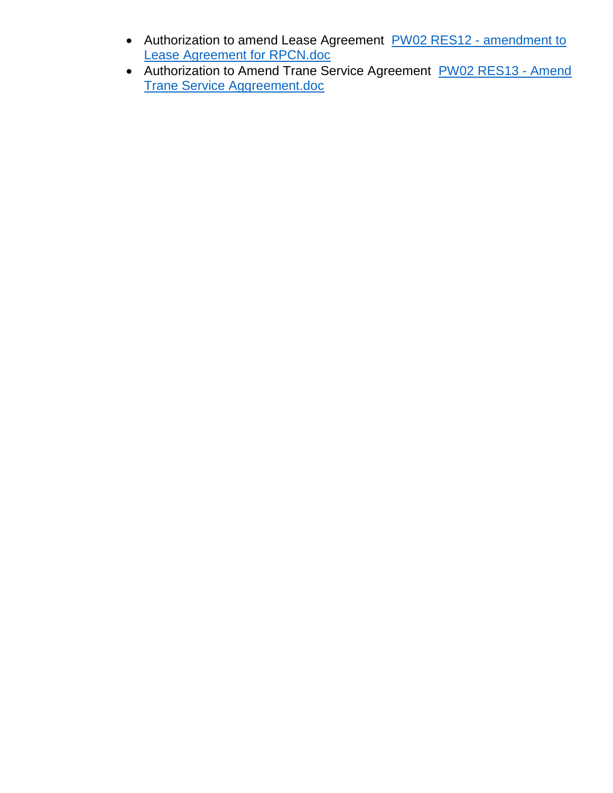- Authorization to amend Lease Agreement PW02 RES12 amendment to Lease Agreement for RPCN.doc
- Authorization to Amend Trane Service Agreement PW02 RES13 Amend Trane Service Aggreement.doc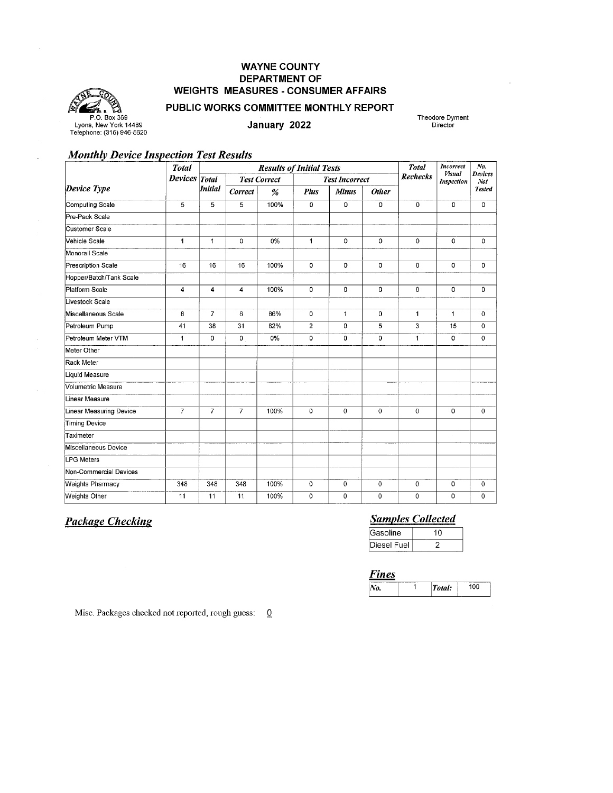# **WAYNE COUNTY DEPARTMENT OF WEIGHTS MEASURES - CONSUMER AFFAIRS**



#### PUBLIC WORKS COMMITTEE MONTHLY REPORT

January 2022

Theodore Dyment Director

# **Monthly Device Inspection Test Results**

|                         | <b>Total</b>   | <b>Results of Initial Tests</b> |                |      |                |                       |              | <b>Total</b>    | <b>Incorrect</b><br><b>Visual</b> | No.<br><b>Devices</b> |
|-------------------------|----------------|---------------------------------|----------------|------|----------------|-----------------------|--------------|-----------------|-----------------------------------|-----------------------|
|                         | <b>Devices</b> | Total<br><b>Test Correct</b>    |                |      |                | <b>Test Incorrect</b> |              | <b>Rechecks</b> | <b>Inspection</b>                 | Not                   |
| Device Type             |                | <b>Initial</b>                  | Correct        | %    | <b>Plus</b>    | <b>Minus</b>          | <b>Other</b> |                 |                                   | <b>Tested</b>         |
| Computing Scale         | 5              | 5                               | 5              | 100% | 0              | 0                     | 0            | 0               | 0                                 | 0                     |
| Pre-Pack Scale          |                |                                 |                |      |                |                       |              |                 |                                   |                       |
| Customer Scale          |                |                                 |                |      |                |                       |              |                 |                                   |                       |
| Vehicle Scale           | 1              | $\mathbf{1}$                    | 0              | 0%   | 1              | 0                     | 0            | 0               | $\mathbf 0$                       | 0                     |
| Monorail Scale          |                |                                 |                |      |                |                       |              |                 |                                   |                       |
| Prescription Scale      | 16             | 16                              | 16             | 100% | $\mathbf 0$    | 0                     | 0            | $\mathbf 0$     | 0                                 | 0                     |
| Hopper/Batch/Tank Scale |                |                                 |                |      |                |                       |              |                 |                                   |                       |
| Platform Scale          | 4              | $\overline{4}$                  | 4              | 100% | $\mathbf 0$    | 0                     | 0            | 0               | $\Omega$                          | 0                     |
| Livestock Scale         |                |                                 |                |      |                |                       |              |                 |                                   |                       |
| Miscellaneous Scale     | 8              | $\overline{7}$                  | 6              | 86%  | 0              | 1                     | 0            | 1               | $\mathbf{1}$                      | 0                     |
| Petroleum Pump          | 41             | 38                              | 31             | 82%  | $\overline{2}$ | $\Omega$              | 5            | 3               | 15                                | 0                     |
| Petroleum Meter VTM     | $\mathbf{1}$   | 0                               | 0              | 0%   | 0              | 0                     | 0            | 1               | 0                                 | 0                     |
| Meter Other             |                |                                 |                |      |                |                       |              |                 |                                   |                       |
| Rack Meter              |                |                                 |                |      |                |                       |              |                 |                                   |                       |
| Liquid Measure          |                |                                 |                |      |                |                       |              |                 |                                   |                       |
| Volumetric Measure      |                |                                 |                |      |                |                       |              |                 |                                   |                       |
| Linear Measure          |                |                                 |                |      |                |                       |              |                 |                                   |                       |
| Linear Measuring Device | $\overline{7}$ | $\overline{7}$                  | $\overline{7}$ | 100% | 0              | $\Omega$              | $\Omega$     | 0               | 0                                 | $\Omega$              |
| Timing Device           |                |                                 |                |      |                |                       |              |                 |                                   |                       |
| <b>Taximeter</b>        |                |                                 |                |      |                |                       |              |                 |                                   |                       |
| Miscellaneous Device    |                |                                 |                |      |                |                       |              |                 |                                   |                       |
| <b>LPG Meters</b>       |                |                                 |                |      |                |                       |              |                 |                                   |                       |
| Non-Commercial Devices  |                |                                 |                |      |                |                       |              |                 |                                   |                       |
| <b>Weights Pharmacy</b> | 348            | 348                             | 348            | 100% | 0              | 0                     | 0            | $\mathbf 0$     | 0                                 | 0                     |
| <b>Weights Other</b>    | 11             | 11                              | 11             | 100% | 0              | 0                     | $\mathbf 0$  | 0               | 0                                 | 0                     |

# **Package Checking**

# **Samples Collected**

| Gasoline    | 10 |  |  |
|-------------|----|--|--|
| Diesel Fuel |    |  |  |

#### **Fines**

| Wo. | Total: | nn |
|-----|--------|----|

Misc. Packages checked not reported, rough guess: 0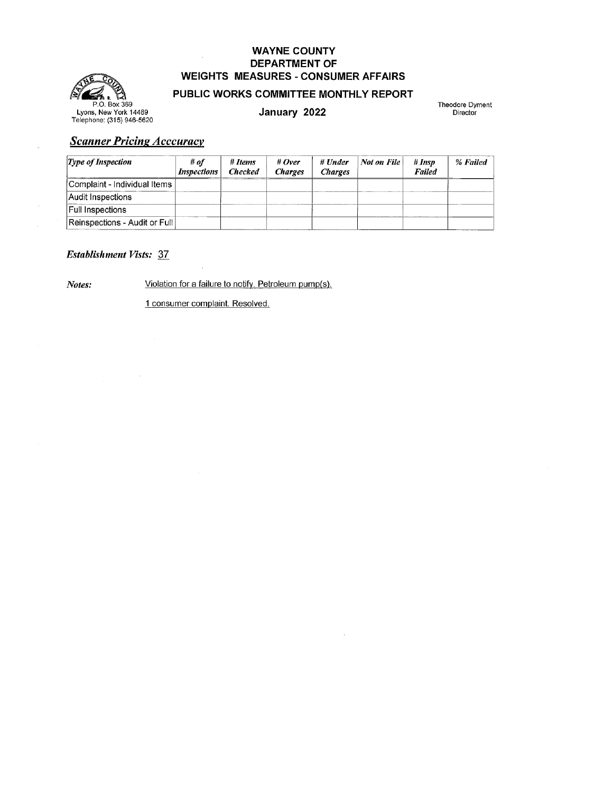# **WAYNE COUNTY DEPARTMENT OF WEIGHTS MEASURES - CONSUMER AFFAIRS**



## PUBLIC WORKS COMMITTEE MONTHLY REPORT

January 2022

Theodore Dyment Director

# **Scanner Pricing Acccuracy**

| $\mathcal{I}$ <i>ype of Inspection</i> | # of<br><i>Inspections</i> | # Items<br><b>Checked</b> | # $Over$<br><b>Charges</b> | # Under<br><b>Charges</b> | <b>Not on File</b> | # Insp<br><b>Failed</b> | % Failed |
|----------------------------------------|----------------------------|---------------------------|----------------------------|---------------------------|--------------------|-------------------------|----------|
| Complaint - Individual Items           |                            |                           |                            |                           |                    |                         |          |
| Audit Inspections                      |                            |                           |                            |                           |                    |                         |          |
| <b>Full Inspections</b>                |                            |                           |                            |                           |                    |                         |          |
| Reinspections - Audit or Full          |                            |                           |                            |                           |                    |                         |          |

## **Establishment Vists: 37**

Notes:

Violation for a failure to notify. Petroleum pump(s).

1 consumer complaint. Resolved.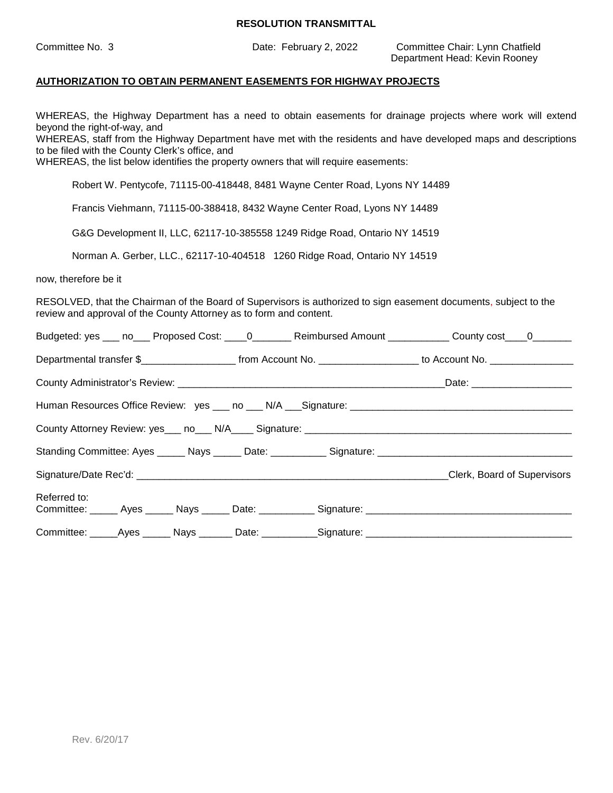Committee No. 3 Date: February 2, 2022 Committee Chair: Lynn Chatfield Department Head: Kevin Rooney

#### **AUTHORIZATION TO OBTAIN PERMANENT EASEMENTS FOR HIGHWAY PROJECTS**

WHEREAS, the Highway Department has a need to obtain easements for drainage projects where work will extend beyond the right-of-way, and

WHEREAS, staff from the Highway Department have met with the residents and have developed maps and descriptions to be filed with the County Clerk's office, and

WHEREAS, the list below identifies the property owners that will require easements:

Robert W. Pentycofe, 71115-00-418448, 8481 Wayne Center Road, Lyons NY 14489

Francis Viehmann, 71115-00-388418, 8432 Wayne Center Road, Lyons NY 14489

G&G Development II, LLC, 62117-10-385558 1249 Ridge Road, Ontario NY 14519

Norman A. Gerber, LLC., 62117-10-404518 1260 Ridge Road, Ontario NY 14519

now, therefore be it

RESOLVED, that the Chairman of the Board of Supervisors is authorized to sign easement documents, subject to the review and approval of the County Attorney as to form and content.

|              |  |                                                                                                      | Budgeted: yes ___ no___ Proposed Cost: ____ 0________ Reimbursed Amount ___________ County cost ___ 0________         |  |
|--------------|--|------------------------------------------------------------------------------------------------------|-----------------------------------------------------------------------------------------------------------------------|--|
|              |  |                                                                                                      | Departmental transfer \$________________________ from Account No. ___________________ to Account No. ________________ |  |
|              |  |                                                                                                      |                                                                                                                       |  |
|              |  |                                                                                                      |                                                                                                                       |  |
|              |  |                                                                                                      |                                                                                                                       |  |
|              |  |                                                                                                      |                                                                                                                       |  |
|              |  |                                                                                                      | Clerk, Board of Supervisors                                                                                           |  |
| Referred to: |  |                                                                                                      | Committee: ______ Ayes ______ Nays ______ Date: ___________ Signature: _____________________________                  |  |
|              |  | Committee: ______Ayes ______ Nays _______ Date: ___________Signature: ______________________________ |                                                                                                                       |  |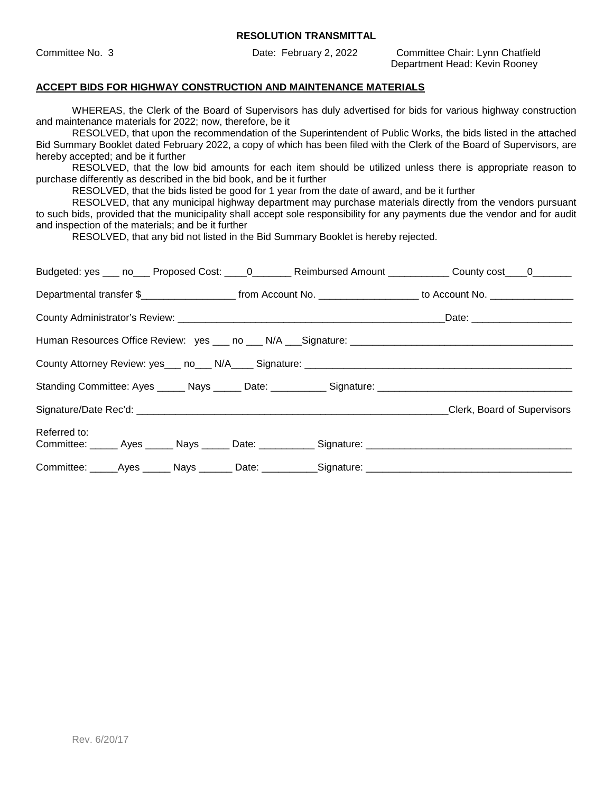Committee No. 3 Date: February 2, 2022 Committee Chair: Lynn Chatfield Department Head: Kevin Rooney

## **ACCEPT BIDS FOR HIGHWAY CONSTRUCTION AND MAINTENANCE MATERIALS**

WHEREAS, the Clerk of the Board of Supervisors has duly advertised for bids for various highway construction and maintenance materials for 2022; now, therefore, be it

RESOLVED, that upon the recommendation of the Superintendent of Public Works, the bids listed in the attached Bid Summary Booklet dated February 2022, a copy of which has been filed with the Clerk of the Board of Supervisors, are hereby accepted; and be it further

RESOLVED, that the low bid amounts for each item should be utilized unless there is appropriate reason to purchase differently as described in the bid book, and be it further

RESOLVED, that the bids listed be good for 1 year from the date of award, and be it further

RESOLVED, that any municipal highway department may purchase materials directly from the vendors pursuant to such bids, provided that the municipality shall accept sole responsibility for any payments due the vendor and for audit and inspection of the materials; and be it further

RESOLVED, that any bid not listed in the Bid Summary Booklet is hereby rejected.

|                                                                                                     |  | Budgeted: yes ___ no___ Proposed Cost: ____0________ Reimbursed Amount ___________ County cost____0_______                               |
|-----------------------------------------------------------------------------------------------------|--|------------------------------------------------------------------------------------------------------------------------------------------|
|                                                                                                     |  | Departmental transfer \$________________________________from Account No. ____________________________ to Account No. ___________________ |
|                                                                                                     |  |                                                                                                                                          |
|                                                                                                     |  |                                                                                                                                          |
|                                                                                                     |  |                                                                                                                                          |
|                                                                                                     |  |                                                                                                                                          |
|                                                                                                     |  | Signature/Date Rec'd: Clerk, Board of Supervisors                                                                                        |
| Referred to:                                                                                        |  |                                                                                                                                          |
| Committee: _____Ayes ______ Nays _______ Date: ___________Signature: ______________________________ |  |                                                                                                                                          |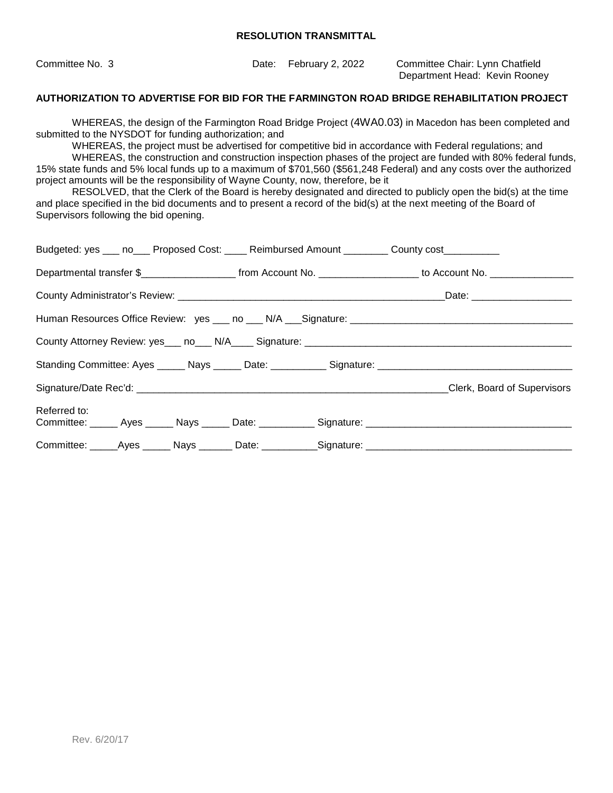| Committee No. 3 | Date: February 2, 2022 | Committee Chair: Lynn Chatfield |
|-----------------|------------------------|---------------------------------|
|                 |                        | Department Head: Kevin Rooney   |

#### **AUTHORIZATION TO ADVERTISE FOR BID FOR THE FARMINGTON ROAD BRIDGE REHABILITATION PROJECT**

WHEREAS, the design of the Farmington Road Bridge Project (4WA0.03) in Macedon has been completed and submitted to the NYSDOT for funding authorization; and

WHEREAS, the project must be advertised for competitive bid in accordance with Federal regulations; and

WHEREAS, the construction and construction inspection phases of the project are funded with 80% federal funds, 15% state funds and 5% local funds up to a maximum of \$701,560 (\$561,248 Federal) and any costs over the authorized project amounts will be the responsibility of Wayne County, now, therefore, be it

RESOLVED, that the Clerk of the Board is hereby designated and directed to publicly open the bid(s) at the time and place specified in the bid documents and to present a record of the bid(s) at the next meeting of the Board of Supervisors following the bid opening.

| Budgeted: yes ___ no___ Proposed Cost: ____ Reimbursed Amount ________ County cost_________ |  |  |  |                                                                                                                 |  |
|---------------------------------------------------------------------------------------------|--|--|--|-----------------------------------------------------------------------------------------------------------------|--|
|                                                                                             |  |  |  | Departmental transfer \$_______________________ from Account No. __________________ to Account No. ____________ |  |
|                                                                                             |  |  |  |                                                                                                                 |  |
|                                                                                             |  |  |  |                                                                                                                 |  |
|                                                                                             |  |  |  |                                                                                                                 |  |
|                                                                                             |  |  |  |                                                                                                                 |  |
|                                                                                             |  |  |  | Clerk, Board of Supervisors                                                                                     |  |
| Referred to:                                                                                |  |  |  | Committee: ______ Ayes ______ Nays ______ Date: ___________ Signature: _____________________________            |  |
|                                                                                             |  |  |  | Committee: _____Ayes ______ Nays _______ Date: ___________Signature: ______________________________             |  |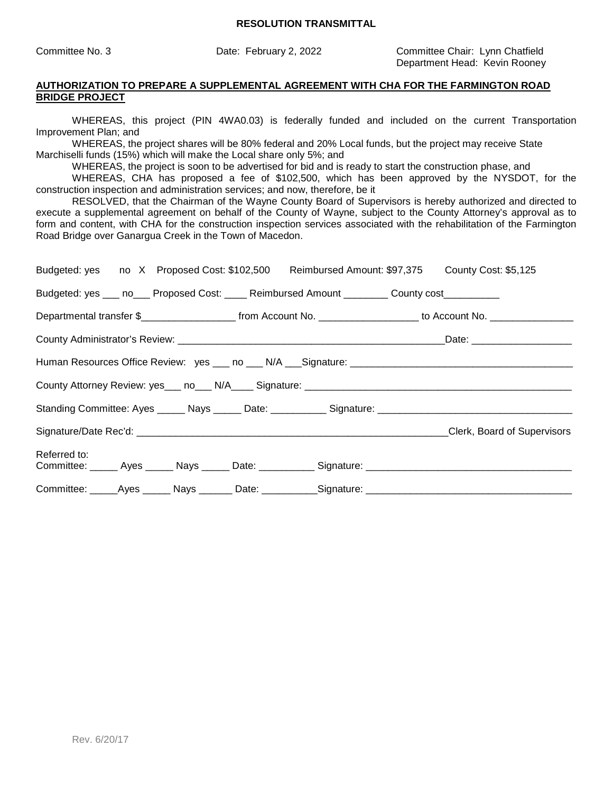Committee No. 3 Date: February 2, 2022 Committee Chair: Lynn Chatfield Department Head: Kevin Rooney

#### **AUTHORIZATION TO PREPARE A SUPPLEMENTAL AGREEMENT WITH CHA FOR THE FARMINGTON ROAD BRIDGE PROJECT**

WHEREAS, this project (PIN 4WA0.03) is federally funded and included on the current Transportation Improvement Plan; and

WHEREAS, the project shares will be 80% federal and 20% Local funds, but the project may receive State Marchiselli funds (15%) which will make the Local share only 5%; and

WHEREAS, the project is soon to be advertised for bid and is ready to start the construction phase, and

WHEREAS, CHA has proposed a fee of \$102,500, which has been approved by the NYSDOT, for the construction inspection and administration services; and now, therefore, be it

RESOLVED, that the Chairman of the Wayne County Board of Supervisors is hereby authorized and directed to execute a supplemental agreement on behalf of the County of Wayne, subject to the County Attorney's approval as to form and content, with CHA for the construction inspection services associated with the rehabilitation of the Farmington Road Bridge over Ganargua Creek in the Town of Macedon.

| Budgeted: yes no X Proposed Cost: \$102,500 Reimbursed Amount: \$97,375 County Cost: \$5,125                         |  |  |  |  |                                                                                                                    |  |
|----------------------------------------------------------------------------------------------------------------------|--|--|--|--|--------------------------------------------------------------------------------------------------------------------|--|
| Budgeted: yes ___ no___ Proposed Cost: ____ Reimbursed Amount ________ County cost_________                          |  |  |  |  |                                                                                                                    |  |
|                                                                                                                      |  |  |  |  | Departmental transfer \$________________________ from Account No. ___________________ to Account No. _____________ |  |
|                                                                                                                      |  |  |  |  |                                                                                                                    |  |
|                                                                                                                      |  |  |  |  |                                                                                                                    |  |
|                                                                                                                      |  |  |  |  |                                                                                                                    |  |
|                                                                                                                      |  |  |  |  |                                                                                                                    |  |
|                                                                                                                      |  |  |  |  |                                                                                                                    |  |
| Referred to:<br>Committee: ______ Ayes ______ Nays ______ Date: ___________ Signature: _____________________________ |  |  |  |  |                                                                                                                    |  |
| Committee: ______Ayes _______ Nays ________ Date: ___________Signature: ____________________________                 |  |  |  |  |                                                                                                                    |  |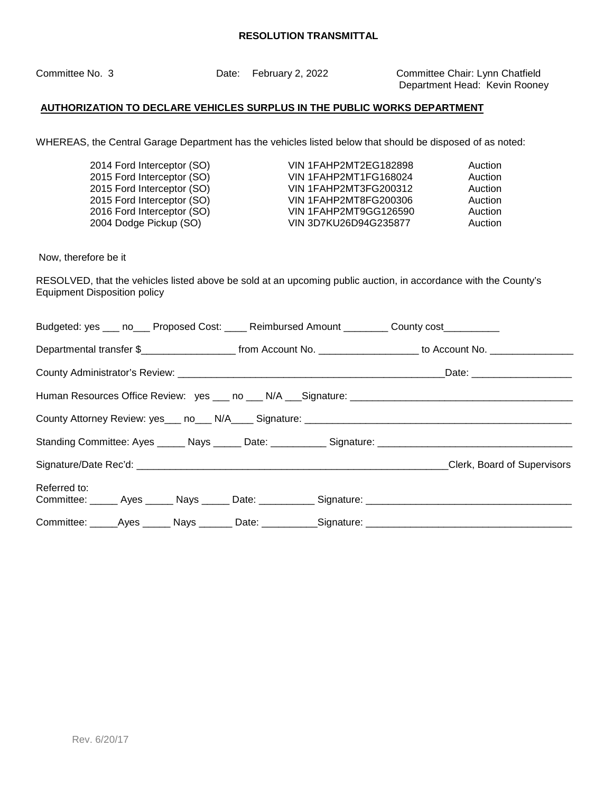Committee No. 3 Date: February 2, 2022 Committee Chair: Lynn Chatfield Department Head: Kevin Rooney

# **AUTHORIZATION TO DECLARE VEHICLES SURPLUS IN THE PUBLIC WORKS DEPARTMENT**

WHEREAS, the Central Garage Department has the vehicles listed below that should be disposed of as noted:

| 2014 Ford Interceptor (SO) | VIN 1FAHP2MT2EG182898        | Auction |
|----------------------------|------------------------------|---------|
| 2015 Ford Interceptor (SO) | <b>VIN 1FAHP2MT1FG168024</b> | Auction |
| 2015 Ford Interceptor (SO) | <b>VIN 1FAHP2MT3FG200312</b> | Auction |
| 2015 Ford Interceptor (SO) | VIN 1FAHP2MT8FG200306        | Auction |
| 2016 Ford Interceptor (SO) | VIN 1FAHP2MT9GG126590        | Auction |
| 2004 Dodge Pickup (SO)     | VIN 3D7KU26D94G235877        | Auction |

Now, therefore be it

RESOLVED, that the vehicles listed above be sold at an upcoming public auction, in accordance with the County's Equipment Disposition policy

| Budgeted: yes ___ no___ Proposed Cost: ____ Reimbursed Amount ________ County cost_________                          |  |  |
|----------------------------------------------------------------------------------------------------------------------|--|--|
| Departmental transfer \$_______________________ from Account No. __________________ to Account No. ____________      |  |  |
|                                                                                                                      |  |  |
|                                                                                                                      |  |  |
|                                                                                                                      |  |  |
|                                                                                                                      |  |  |
|                                                                                                                      |  |  |
| Referred to:<br>Committee: ______ Ayes ______ Nays ______ Date: ___________ Signature: _____________________________ |  |  |
| Committee: _____Ayes ______ Nays _______ Date: ___________Signature: _______________________________                 |  |  |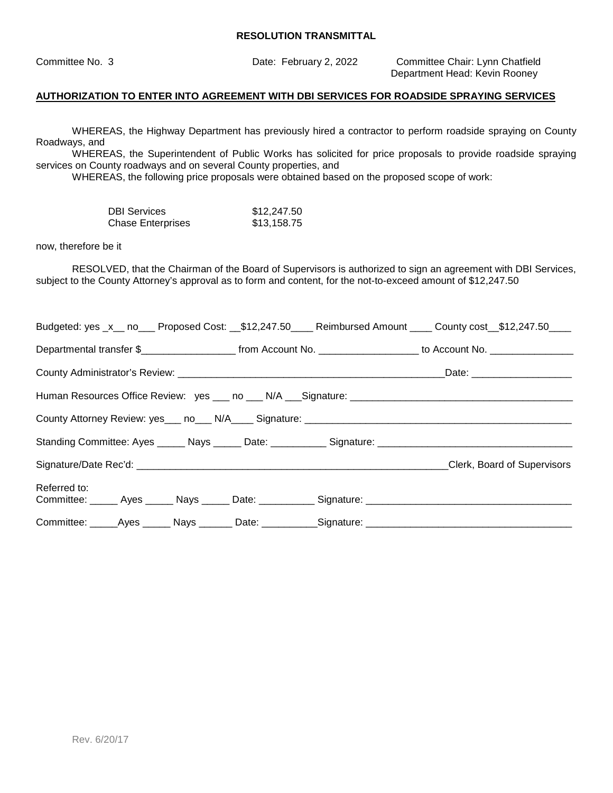Committee No. 3 Date: February 2, 2022 Committee Chair: Lynn Chatfield Department Head: Kevin Rooney

## **AUTHORIZATION TO ENTER INTO AGREEMENT WITH DBI SERVICES FOR ROADSIDE SPRAYING SERVICES**

WHEREAS, the Highway Department has previously hired a contractor to perform roadside spraying on County Roadways, and

WHEREAS, the Superintendent of Public Works has solicited for price proposals to provide roadside spraying services on County roadways and on several County properties, and

WHEREAS, the following price proposals were obtained based on the proposed scope of work:

| <b>DBI Services</b>      | \$12,247.50 |
|--------------------------|-------------|
| <b>Chase Enterprises</b> | \$13,158.75 |

now, therefore be it

RESOLVED, that the Chairman of the Board of Supervisors is authorized to sign an agreement with DBI Services, subject to the County Attorney's approval as to form and content, for the not-to-exceed amount of \$12,247.50

|                                                                                                                  |  |  |  | Budgeted: yes _x__ no___ Proposed Cost: __\$12,247.50____ Reimbursed Amount ____ County cost__\$12,247.50____ |
|------------------------------------------------------------------------------------------------------------------|--|--|--|---------------------------------------------------------------------------------------------------------------|
| Departmental transfer \$_______________________ from Account No. ___________________ to Account No. ____________ |  |  |  |                                                                                                               |
|                                                                                                                  |  |  |  |                                                                                                               |
|                                                                                                                  |  |  |  |                                                                                                               |
|                                                                                                                  |  |  |  |                                                                                                               |
|                                                                                                                  |  |  |  |                                                                                                               |
|                                                                                                                  |  |  |  | Clerk, Board of Supervisors                                                                                   |
| Referred to:                                                                                                     |  |  |  |                                                                                                               |
|                                                                                                                  |  |  |  |                                                                                                               |
|                                                                                                                  |  |  |  | Committee: ______Ayes _______Nays ________Date: ___________Signature: ______________________________          |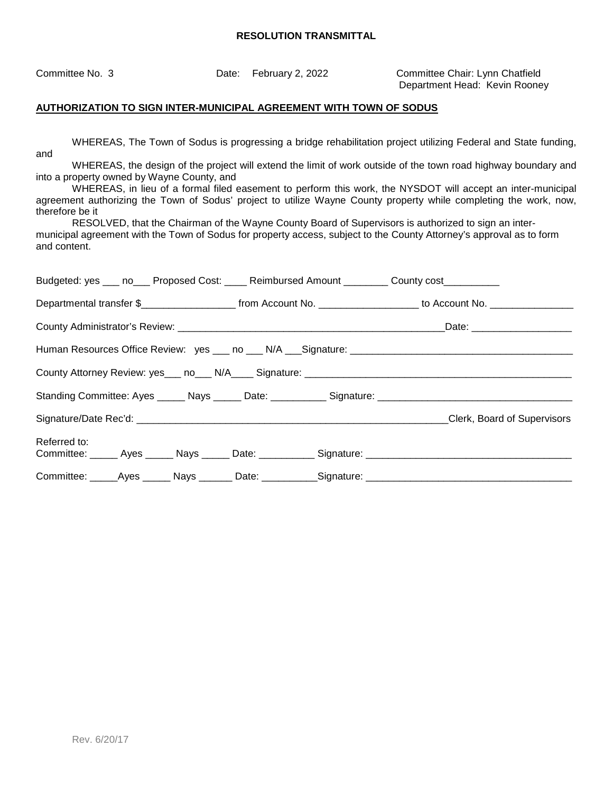Committee No. 3 Date: February 2, 2022 Committee Chair: Lynn Chatfield Department Head: Kevin Rooney

## **AUTHORIZATION TO SIGN INTER-MUNICIPAL AGREEMENT WITH TOWN OF SODUS**

WHEREAS, The Town of Sodus is progressing a bridge rehabilitation project utilizing Federal and State funding, and

WHEREAS, the design of the project will extend the limit of work outside of the town road highway boundary and into a property owned by Wayne County, and

WHEREAS, in lieu of a formal filed easement to perform this work, the NYSDOT will accept an inter-municipal agreement authorizing the Town of Sodus' project to utilize Wayne County property while completing the work, now, therefore be it

RESOLVED, that the Chairman of the Wayne County Board of Supervisors is authorized to sign an intermunicipal agreement with the Town of Sodus for property access, subject to the County Attorney's approval as to form and content.

|              | Budgeted: yes ___ no___ Proposed Cost: ____ Reimbursed Amount ________ County cost_________                     |
|--------------|-----------------------------------------------------------------------------------------------------------------|
|              | Departmental transfer \$_______________________ from Account No. ___________________ to Account No. ___________ |
|              |                                                                                                                 |
|              |                                                                                                                 |
|              |                                                                                                                 |
|              |                                                                                                                 |
|              |                                                                                                                 |
| Referred to: |                                                                                                                 |
|              | Committee: ______Ayes _______ Nays ________ Date: ___________Signature: ____________________________            |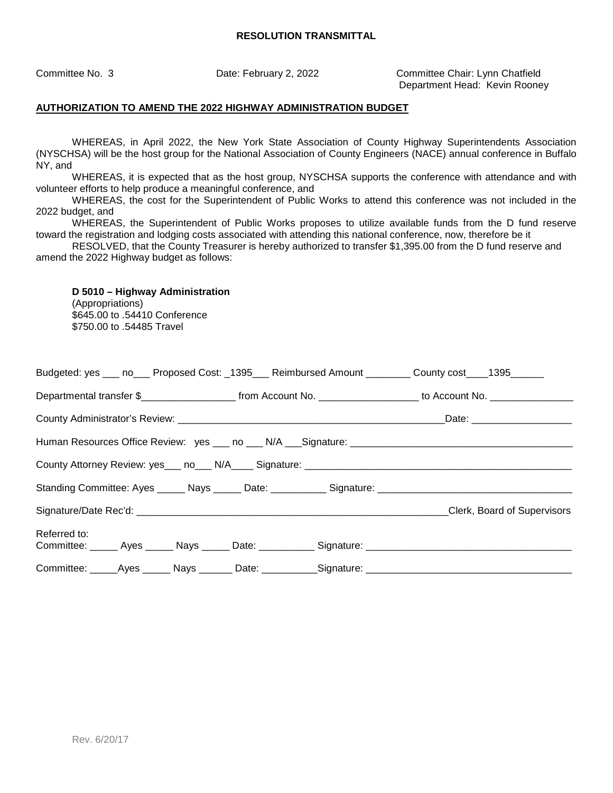Committee No. 3 Date: February 2, 2022 Committee Chair: Lynn Chatfield Department Head: Kevin Rooney

## **AUTHORIZATION TO AMEND THE 2022 HIGHWAY ADMINISTRATION BUDGET**

WHEREAS, in April 2022, the New York State Association of County Highway Superintendents Association (NYSCHSA) will be the host group for the National Association of County Engineers (NACE) annual conference in Buffalo NY, and

WHEREAS, it is expected that as the host group, NYSCHSA supports the conference with attendance and with volunteer efforts to help produce a meaningful conference, and

WHEREAS, the cost for the Superintendent of Public Works to attend this conference was not included in the 2022 budget, and

WHEREAS, the Superintendent of Public Works proposes to utilize available funds from the D fund reserve toward the registration and lodging costs associated with attending this national conference, now, therefore be it

RESOLVED, that the County Treasurer is hereby authorized to transfer \$1,395.00 from the D fund reserve and amend the 2022 Highway budget as follows:

# **D 5010 – Highway Administration**

(Appropriations) \$645.00 to .54410 Conference \$750.00 to .54485 Travel

| Budgeted: yes ___ no___ Proposed Cost: _1395___ Reimbursed Amount ________ County cost ___1395______                 |                             |
|----------------------------------------------------------------------------------------------------------------------|-----------------------------|
|                                                                                                                      |                             |
|                                                                                                                      |                             |
|                                                                                                                      |                             |
|                                                                                                                      |                             |
| Standing Committee: Ayes ______ Nays ______ Date: ___________ Signature: ___________________________                 |                             |
|                                                                                                                      | Clerk, Board of Supervisors |
| Referred to:<br>Committee: _____ Ayes _____ Nays _____ Date: __________ Signature: _________________________________ |                             |
| Committee: _____Ayes ______ Nays _______ Date: __________Signature: _______________________________                  |                             |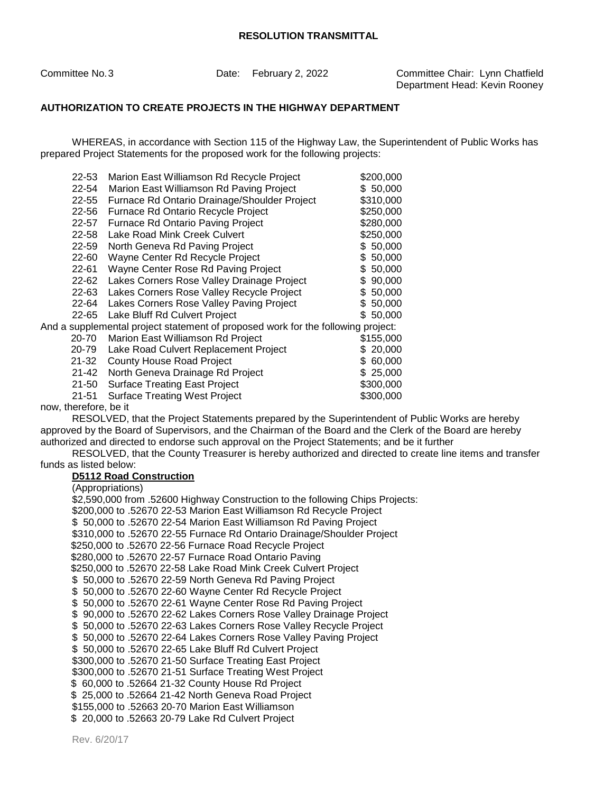Committee No. 3 Date: February 2, 2022 Committee Chair: Lynn Chatfield Department Head: Kevin Rooney

## **AUTHORIZATION TO CREATE PROJECTS IN THE HIGHWAY DEPARTMENT**

WHEREAS, in accordance with Section 115 of the Highway Law, the Superintendent of Public Works has prepared Project Statements for the proposed work for the following projects:

| 22-53                                                                            | Marion East Williamson Rd Recycle Project    | \$200,000     |  |  |
|----------------------------------------------------------------------------------|----------------------------------------------|---------------|--|--|
| 22-54                                                                            | Marion East Williamson Rd Paving Project     | \$50,000      |  |  |
| 22-55                                                                            | Furnace Rd Ontario Drainage/Shoulder Project | \$310,000     |  |  |
| 22-56                                                                            | Furnace Rd Ontario Recycle Project           | \$250,000     |  |  |
| 22-57                                                                            | Furnace Rd Ontario Paving Project            | \$280,000     |  |  |
| 22-58                                                                            | Lake Road Mink Creek Culvert                 | \$250,000     |  |  |
| 22-59                                                                            | North Geneva Rd Paving Project               | \$50,000      |  |  |
| 22-60                                                                            | Wayne Center Rd Recycle Project              | \$50,000      |  |  |
| 22-61                                                                            | Wayne Center Rose Rd Paving Project          | \$50,000      |  |  |
| 22-62                                                                            | Lakes Corners Rose Valley Drainage Project   | 90,000<br>S   |  |  |
| 22-63                                                                            | Lakes Corners Rose Valley Recycle Project    | \$50,000      |  |  |
| 22-64                                                                            | Lakes Corners Rose Valley Paving Project     | 50,000<br>\$. |  |  |
| 22-65                                                                            | Lake Bluff Rd Culvert Project                | \$50,000      |  |  |
| And a supplemental project statement of proposed work for the following project: |                                              |               |  |  |
| 20-70                                                                            | Marion East Williamson Rd Project            | \$155,000     |  |  |
| 20-79                                                                            | Lake Road Culvert Replacement Project        | 20,000<br>S.  |  |  |
| $21 - 32$                                                                        | <b>County House Road Project</b>             | \$ 60,000     |  |  |
| $21 - 42$                                                                        | North Geneva Drainage Rd Project             | \$25,000      |  |  |
| $21 - 50$                                                                        | <b>Surface Treating East Project</b>         | \$300,000     |  |  |
| $21 - 51$                                                                        | <b>Surface Treating West Project</b>         | \$300,000     |  |  |
|                                                                                  |                                              |               |  |  |

now, therefore, be it

RESOLVED, that the Project Statements prepared by the Superintendent of Public Works are hereby approved by the Board of Supervisors, and the Chairman of the Board and the Clerk of the Board are hereby authorized and directed to endorse such approval on the Project Statements; and be it further

RESOLVED, that the County Treasurer is hereby authorized and directed to create line items and transfer funds as listed below:

## **D5112 Road Construction**

(Appropriations) \$2,590,000 from .52600 Highway Construction to the following Chips Projects: \$200,000 to .52670 22-53 Marion East Williamson Rd Recycle Project \$ 50,000 to .52670 22-54 Marion East Williamson Rd Paving Project \$310,000 to .52670 22-55 Furnace Rd Ontario Drainage/Shoulder Project \$250,000 to .52670 22-56 Furnace Road Recycle Project \$280,000 to .52670 22-57 Furnace Road Ontario Paving \$250,000 to .52670 22-58 Lake Road Mink Creek Culvert Project \$ 50,000 to .52670 22-59 North Geneva Rd Paving Project \$ 50,000 to .52670 22-60 Wayne Center Rd Recycle Project \$ 50,000 to .52670 22-61 Wayne Center Rose Rd Paving Project \$ 90,000 to .52670 22-62 Lakes Corners Rose Valley Drainage Project \$ 50,000 to .52670 22-63 Lakes Corners Rose Valley Recycle Project \$ 50,000 to .52670 22-64 Lakes Corners Rose Valley Paving Project \$ 50,000 to .52670 22-65 Lake Bluff Rd Culvert Project \$300,000 to .52670 21-50 Surface Treating East Project \$300,000 to .52670 21-51 Surface Treating West Project \$ 60,000 to .52664 21-32 County House Rd Project \$ 25,000 to .52664 21-42 North Geneva Road Project \$155,000 to .52663 20-70 Marion East Williamson \$ 20,000 to .52663 20-79 Lake Rd Culvert Project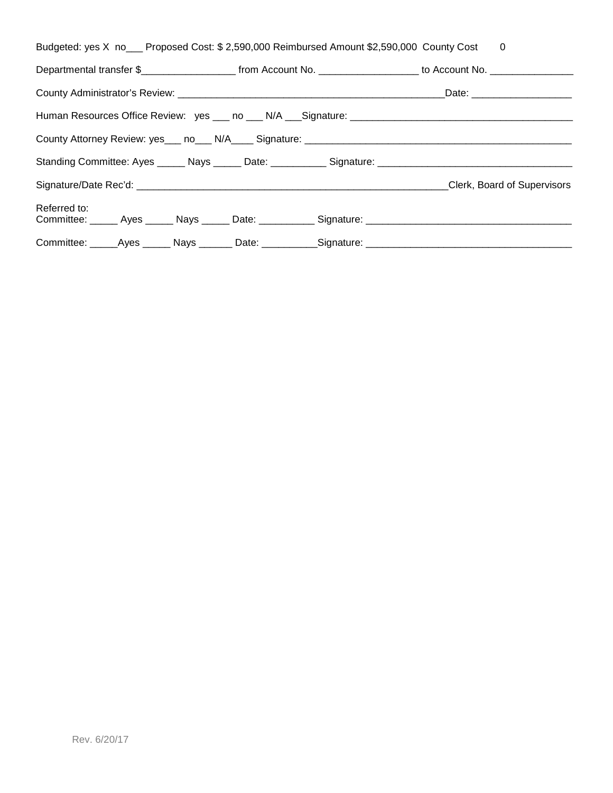| Budgeted: yes X no___ Proposed Cost: \$ 2,590,000 Reimbursed Amount \$2,590,000 County Cost | 0                                                                                                                     |
|---------------------------------------------------------------------------------------------|-----------------------------------------------------------------------------------------------------------------------|
|                                                                                             | Departmental transfer \$________________________ from Account No. ____________________ to Account No. _______________ |
|                                                                                             |                                                                                                                       |
|                                                                                             | Human Resources Office Review: yes ___ no ___ N/A ___ Signature: ___________________________________                  |
|                                                                                             |                                                                                                                       |
|                                                                                             | Standing Committee: Ayes ______ Nays ______ Date: ___________ Signature: ___________________________                  |
|                                                                                             | Clerk, Board of Supervisors                                                                                           |
| Referred to:                                                                                |                                                                                                                       |
|                                                                                             |                                                                                                                       |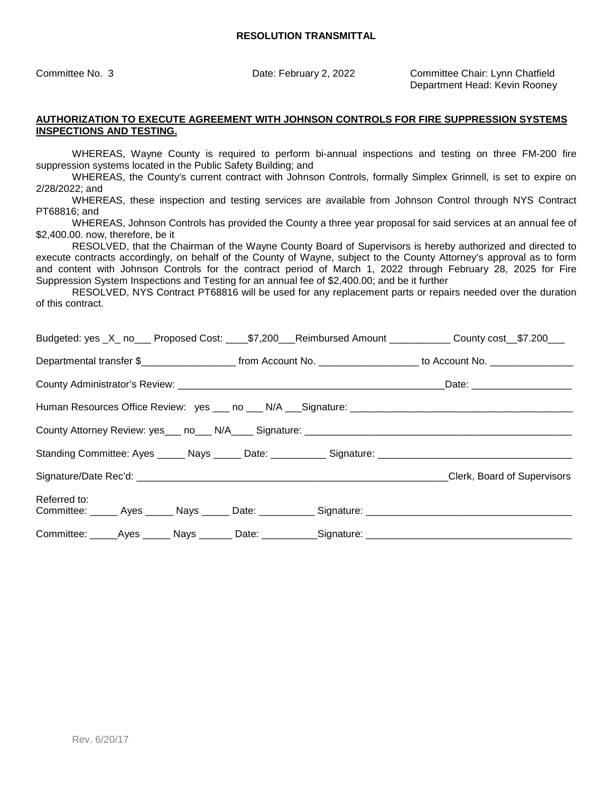Committee No. 3 Date: February 2, 2022 Committee Chair: Lynn Chatfield Department Head: Kevin Rooney

#### **AUTHORIZATION TO EXECUTE AGREEMENT WITH JOHNSON CONTROLS FOR FIRE SUPPRESSION SYSTEMS INSPECTIONS AND TESTING.**

WHEREAS, Wayne County is required to perform bi-annual inspections and testing on three FM-200 fire suppression systems located in the Public Safety Building; and

WHEREAS, the County's current contract with Johnson Controls, formally Simplex Grinnell, is set to expire on 2/28/2022; and

WHEREAS, these inspection and testing services are available from Johnson Control through NYS Contract PT68816; and

WHEREAS, Johnson Controls has provided the County a three year proposal for said services at an annual fee of \$2,400.00. now, therefore, be it

RESOLVED, that the Chairman of the Wayne County Board of Supervisors is hereby authorized and directed to execute contracts accordingly, on behalf of the County of Wayne, subject to the County Attorney's approval as to form and content with Johnson Controls for the contract period of March 1, 2022 through February 28, 2025 for Fire Suppression System Inspections and Testing for an annual fee of \$2,400.00; and be it further

RESOLVED, NYS Contract PT68816 will be used for any replacement parts or repairs needed over the duration of this contract.

| Budgeted: yes _X_ no___ Proposed Cost: ____\$7,200___Reimbursed Amount ___________ County cost __\$7.200___                              |  |
|------------------------------------------------------------------------------------------------------------------------------------------|--|
| Departmental transfer \$________________________________from Account No. ____________________________ to Account No. ___________________ |  |
|                                                                                                                                          |  |
|                                                                                                                                          |  |
| County Attorney Review: yes___ no___ N/A____ Signature: _________________________                                                        |  |
| Standing Committee: Ayes ______ Nays ______ Date: ___________ Signature: ___________________________                                     |  |
| Signature/Date Rec'd: Clerk, Board of Supervisors                                                                                        |  |
| Referred to:                                                                                                                             |  |
|                                                                                                                                          |  |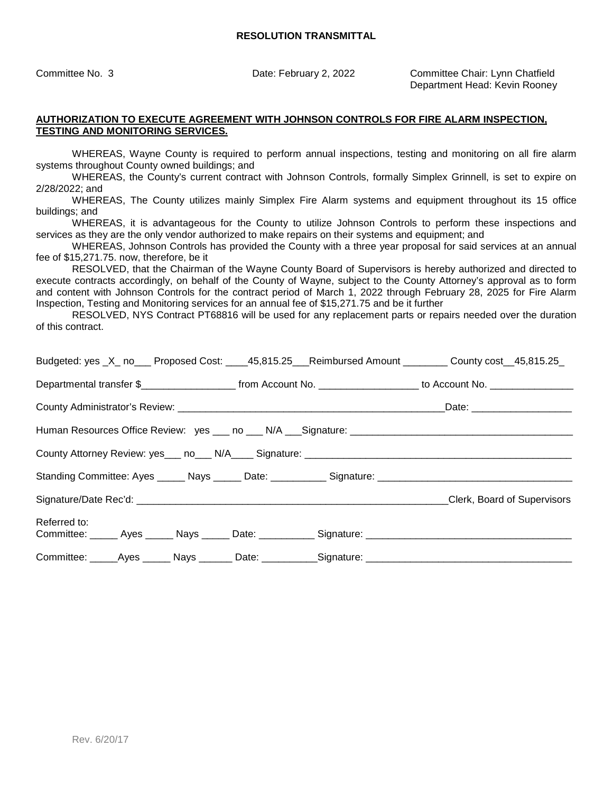Committee No. 3 Date: February 2, 2022 Committee Chair: Lynn Chatfield Department Head: Kevin Rooney

#### **AUTHORIZATION TO EXECUTE AGREEMENT WITH JOHNSON CONTROLS FOR FIRE ALARM INSPECTION, TESTING AND MONITORING SERVICES.**

WHEREAS, Wayne County is required to perform annual inspections, testing and monitoring on all fire alarm systems throughout County owned buildings; and

WHEREAS, the County's current contract with Johnson Controls, formally Simplex Grinnell, is set to expire on 2/28/2022; and

WHEREAS, The County utilizes mainly Simplex Fire Alarm systems and equipment throughout its 15 office buildings; and

WHEREAS, it is advantageous for the County to utilize Johnson Controls to perform these inspections and services as they are the only vendor authorized to make repairs on their systems and equipment; and

WHEREAS, Johnson Controls has provided the County with a three year proposal for said services at an annual fee of \$15,271.75. now, therefore, be it

RESOLVED, that the Chairman of the Wayne County Board of Supervisors is hereby authorized and directed to execute contracts accordingly, on behalf of the County of Wayne, subject to the County Attorney's approval as to form and content with Johnson Controls for the contract period of March 1, 2022 through February 28, 2025 for Fire Alarm Inspection, Testing and Monitoring services for an annual fee of \$15,271.75 and be it further

RESOLVED, NYS Contract PT68816 will be used for any replacement parts or repairs needed over the duration of this contract.

|                                                                                                                      |  | Budgeted: yes _X_ no___ Proposed Cost: ____45,815.25___Reimbursed Amount ________ County cost__45,815.25_             |
|----------------------------------------------------------------------------------------------------------------------|--|-----------------------------------------------------------------------------------------------------------------------|
|                                                                                                                      |  | Departmental transfer \$________________________ from Account No. ____________________ to Account No. _______________ |
|                                                                                                                      |  |                                                                                                                       |
|                                                                                                                      |  |                                                                                                                       |
|                                                                                                                      |  |                                                                                                                       |
|                                                                                                                      |  |                                                                                                                       |
|                                                                                                                      |  |                                                                                                                       |
| Referred to:<br>Committee: ______ Ayes ______ Nays ______ Date: ___________ Signature: _____________________________ |  |                                                                                                                       |
| Committee: _____Ayes ______ Nays _______ Date: ___________Signature: _______________________________                 |  |                                                                                                                       |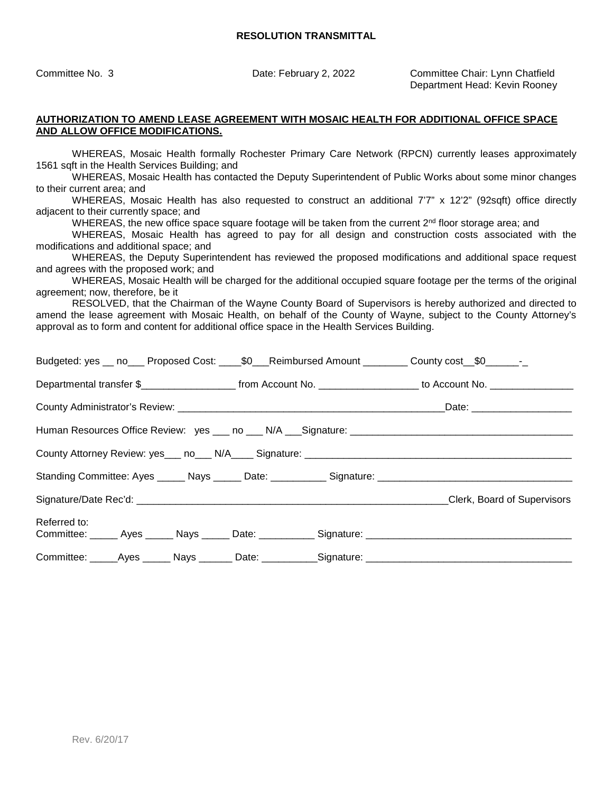Committee No. 3 Date: February 2, 2022 Committee Chair: Lynn Chatfield Department Head: Kevin Rooney

#### **AUTHORIZATION TO AMEND LEASE AGREEMENT WITH MOSAIC HEALTH FOR ADDITIONAL OFFICE SPACE AND ALLOW OFFICE MODIFICATIONS.**

WHEREAS, Mosaic Health formally Rochester Primary Care Network (RPCN) currently leases approximately 1561 sqft in the Health Services Building; and

WHEREAS, Mosaic Health has contacted the Deputy Superintendent of Public Works about some minor changes to their current area; and

WHEREAS, Mosaic Health has also requested to construct an additional 7'7" x 12'2" (92sqft) office directly adjacent to their currently space; and

WHEREAS, the new office space square footage will be taken from the current 2<sup>nd</sup> floor storage area; and

WHEREAS, Mosaic Health has agreed to pay for all design and construction costs associated with the modifications and additional space; and

WHEREAS, the Deputy Superintendent has reviewed the proposed modifications and additional space request and agrees with the proposed work; and

WHEREAS, Mosaic Health will be charged for the additional occupied square footage per the terms of the original agreement; now, therefore, be it

RESOLVED, that the Chairman of the Wayne County Board of Supervisors is hereby authorized and directed to amend the lease agreement with Mosaic Health, on behalf of the County of Wayne, subject to the County Attorney's approval as to form and content for additional office space in the Health Services Building.

| Budgeted: yes __ no___ Proposed Cost: _______\$0____Reimbursed Amount __________ County cost___\$0______________      |  |  |                                                                                                               |
|-----------------------------------------------------------------------------------------------------------------------|--|--|---------------------------------------------------------------------------------------------------------------|
| Departmental transfer \$________________________ from Account No. ____________________ to Account No. _______________ |  |  |                                                                                                               |
|                                                                                                                       |  |  |                                                                                                               |
| Human Resources Office Review: yes ___ no ___ N/A ___ Signature: ___________________________________                  |  |  |                                                                                                               |
|                                                                                                                       |  |  |                                                                                                               |
|                                                                                                                       |  |  | Standing Committee: Ayes ______ Nays ______ Date: ____________ Signature: ___________________________________ |
|                                                                                                                       |  |  | Clerk, Board of Supervisors                                                                                   |
| Referred to:                                                                                                          |  |  |                                                                                                               |
| Committee: _____Ayes ______ Nays _______ Date: ___________Signature: _______________________________                  |  |  |                                                                                                               |